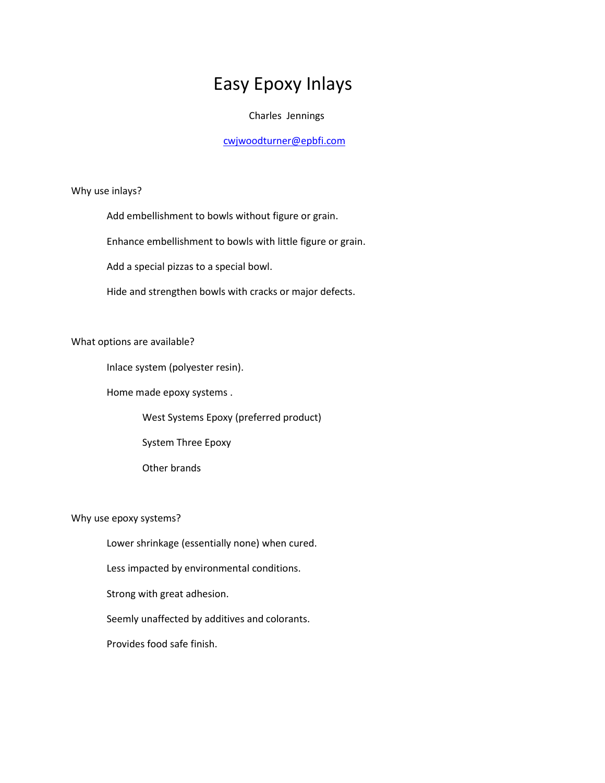## Easy Epoxy Inlays

## Charles Jennings

## [cwjwoodturner@epbfi.com](mailto:cwjwoodturner@epbfi.com)

Why use inlays?

Add embellishment to bowls without figure or grain.

Enhance embellishment to bowls with little figure or grain.

Add a special pizzas to a special bowl.

Hide and strengthen bowls with cracks or major defects.

What options are available?

Inlace system (polyester resin).

Home made epoxy systems .

West Systems Epoxy (preferred product)

System Three Epoxy

Other brands

Why use epoxy systems?

Lower shrinkage (essentially none) when cured.

Less impacted by environmental conditions.

Strong with great adhesion.

Seemly unaffected by additives and colorants.

Provides food safe finish.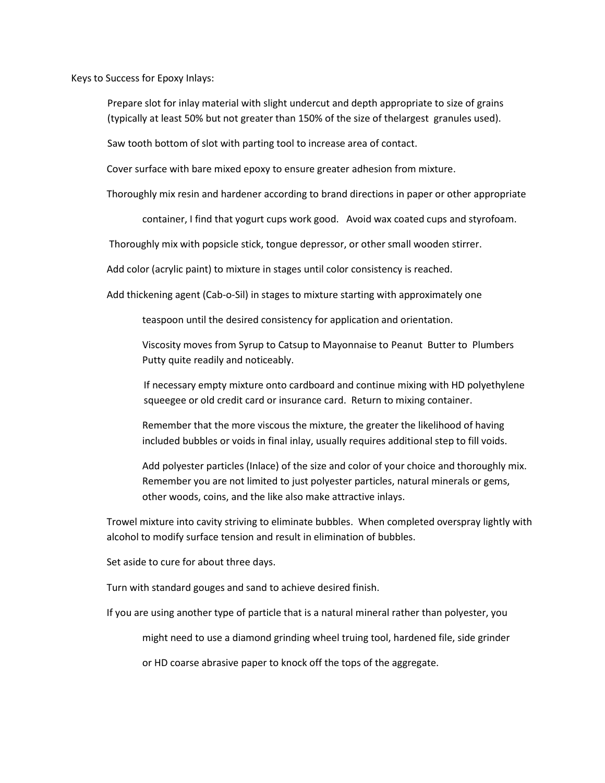Keys to Success for Epoxy Inlays:

Prepare slot for inlay material with slight undercut and depth appropriate to size of grains (typically at least 50% but not greater than 150% of the size of thelargest granules used).

Saw tooth bottom of slot with parting tool to increase area of contact.

Cover surface with bare mixed epoxy to ensure greater adhesion from mixture.

Thoroughly mix resin and hardener according to brand directions in paper or other appropriate

container, I find that yogurt cups work good. Avoid wax coated cups and styrofoam.

Thoroughly mix with popsicle stick, tongue depressor, or other small wooden stirrer.

Add color (acrylic paint) to mixture in stages until color consistency is reached.

Add thickening agent (Cab-o-Sil) in stages to mixture starting with approximately one

teaspoon until the desired consistency for application and orientation.

Viscosity moves from Syrup to Catsup to Mayonnaise to Peanut Butter to Plumbers Putty quite readily and noticeably.

If necessary empty mixture onto cardboard and continue mixing with HD polyethylene squeegee or old credit card or insurance card. Return to mixing container.

Remember that the more viscous the mixture, the greater the likelihood of having included bubbles or voids in final inlay, usually requires additional step to fill voids.

Add polyester particles (Inlace) of the size and color of your choice and thoroughly mix. Remember you are not limited to just polyester particles, natural minerals or gems, other woods, coins, and the like also make attractive inlays.

Trowel mixture into cavity striving to eliminate bubbles. When completed overspray lightly with alcohol to modify surface tension and result in elimination of bubbles.

Set aside to cure for about three days.

Turn with standard gouges and sand to achieve desired finish.

If you are using another type of particle that is a natural mineral rather than polyester, you

might need to use a diamond grinding wheel truing tool, hardened file, side grinder

or HD coarse abrasive paper to knock off the tops of the aggregate.